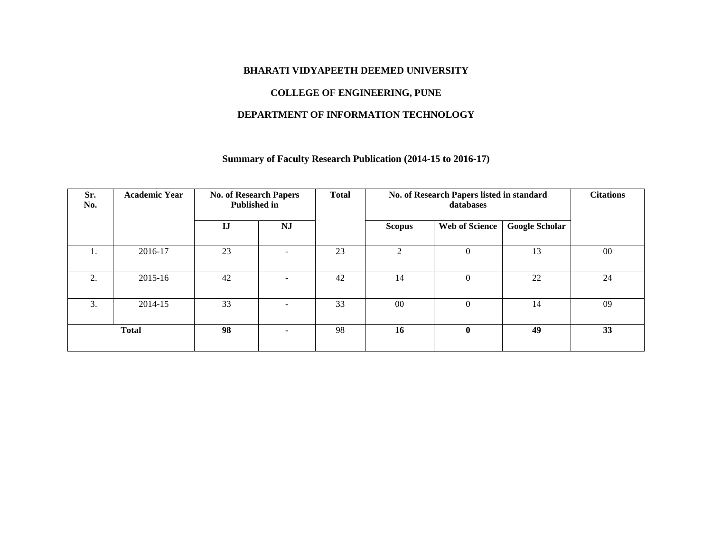#### **BHARATI VIDYAPEETH DEEMED UNIVERSITY**

## **COLLEGE OF ENGINEERING, PUNE**

## **DEPARTMENT OF INFORMATION TECHNOLOGY**

## **Summary of Faculty Research Publication (2014-15 to 2016-17)**

| Sr.<br>No. | <b>Academic Year</b> | <b>No. of Research Papers</b><br><b>Published in</b> |                          | <b>Total</b> |                | No. of Research Papers listed in standard<br>databases |                       | <b>Citations</b> |
|------------|----------------------|------------------------------------------------------|--------------------------|--------------|----------------|--------------------------------------------------------|-----------------------|------------------|
|            |                      | $\mathbf{I}$                                         | <b>NJ</b>                |              | Scopus         | <b>Web of Science</b>                                  | <b>Google Scholar</b> |                  |
| 1.         | 2016-17              | 23                                                   | $\overline{\phantom{a}}$ | 23           | $\mathfrak{D}$ | $\overline{0}$                                         | 13                    | 00               |
| 2.         | 2015-16              | 42                                                   | $\overline{\phantom{a}}$ | 42           | 14             | $\Omega$                                               | 22                    | 24               |
| 3.         | 2014-15              | 33                                                   | ٠                        | 33           | 00             | $\Omega$                                               | 14                    | 09               |
|            | <b>Total</b>         | 98                                                   | ۰.                       | 98           | 16             | $\bf{0}$                                               | 49                    | 33               |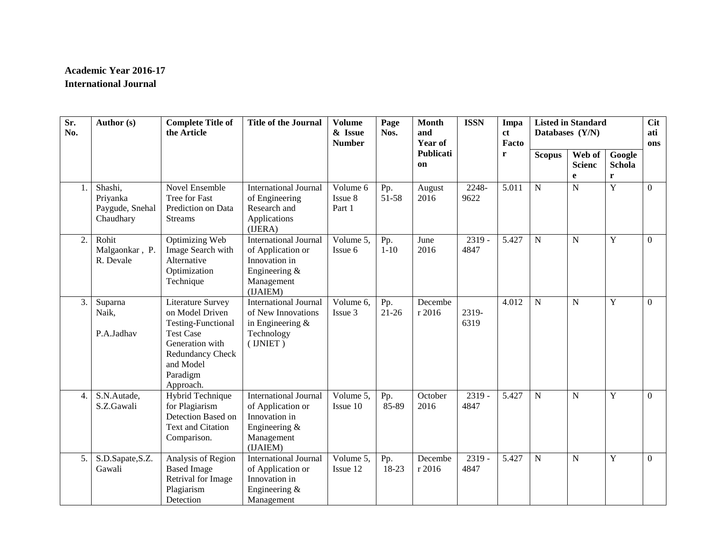# **Academic Year 2016-17 International Journal**

| $\overline{\text{Sr.}}$<br>No. | Author (s)                                          | <b>Complete Title of</b><br>the Article                                                                                                                            | <b>Title of the Journal</b>                                                                                      | <b>Volume</b><br>& Issue<br><b>Number</b>   | Page<br>Nos.   | <b>Month</b><br>and<br><b>Year of</b> | <b>ISSN</b>      | Impa<br><sub>ct</sub><br>Facto |                | <b>Listed in Standard</b><br>Databases (Y/N) |                                 | <b>Cit</b><br>ati<br>ons |
|--------------------------------|-----------------------------------------------------|--------------------------------------------------------------------------------------------------------------------------------------------------------------------|------------------------------------------------------------------------------------------------------------------|---------------------------------------------|----------------|---------------------------------------|------------------|--------------------------------|----------------|----------------------------------------------|---------------------------------|--------------------------|
|                                |                                                     |                                                                                                                                                                    |                                                                                                                  |                                             |                | <b>Publicati</b><br><sub>on</sub>     |                  | r                              | <b>Scopus</b>  | Web of<br><b>Scienc</b><br>e                 | Google<br>Schola<br>$\mathbf r$ |                          |
| 1.                             | Shashi,<br>Priyanka<br>Paygude, Snehal<br>Chaudhary | Novel Ensemble<br>Tree for Fast<br>Prediction on Data<br><b>Streams</b>                                                                                            | <b>International Journal</b><br>of Engineering<br>Research and<br>Applications<br>(IJERA)                        | Volume 6<br>Issue 8<br>Part 1               | Pp.<br>51-58   | August<br>2016                        | 2248-<br>9622    | 5.011                          | $\overline{N}$ | $\overline{N}$                               | $\overline{Y}$                  | $\overline{0}$           |
| 2.                             | Rohit<br>Malgaonkar, P.<br>R. Devale                | Optimizing Web<br>Image Search with<br>Alternative<br>Optimization<br>Technique                                                                                    | <b>International Journal</b><br>of Application or<br>Innovation in<br>Engineering &<br>Management<br>(IJAIEM)    | Volume 5,<br>Issue 6                        | Pp.<br>$1-10$  | June<br>2016                          | $2319 -$<br>4847 | 5.427                          | $\mathbf N$    | $\mathbf N$                                  | $\mathbf Y$                     | $\overline{0}$           |
| 3.                             | Suparna<br>Naik,<br>P.A.Jadhav                      | Literature Survey<br>on Model Driven<br><b>Testing-Functional</b><br><b>Test Case</b><br>Generation with<br>Redundancy Check<br>and Model<br>Paradigm<br>Approach. | <b>International Journal</b><br>of New Innovations<br>in Engineering $&$<br>Technology<br>$($ IJNIET $)$         | $\overline{V}$ olume 6,<br>Issue 3          | Pp.<br>$21-26$ | Decembe<br>r 2016                     | 2319-<br>6319    | 4.012                          | $\mathbf N$    | ${\bf N}$                                    | $\mathbf Y$                     | $\boldsymbol{0}$         |
| 4.                             | S.N.Autade,<br>S.Z.Gawali                           | Hybrid Technique<br>for Plagiarism<br>Detection Based on<br><b>Text and Citation</b><br>Comparison.                                                                | <b>International Journal</b><br>of Application or<br>Innovation in<br>Engineering $\&$<br>Management<br>(IJAIEM) | $\sqrt{\frac{1}{10}}$ Volume 5,<br>Issue 10 | Pp.<br>85-89   | October<br>2016                       | $2319 -$<br>4847 | 5.427                          | $\mathbf N$    | ${\bf N}$                                    | Y                               | $\overline{0}$           |
| 5.                             | S.D.Sapate, S.Z.<br>Gawali                          | Analysis of Region<br><b>Based Image</b><br>Retrival for Image<br>Plagiarism<br>Detection                                                                          | <b>International Journal</b><br>of Application or<br>Innovation in<br>Engineering &<br>Management                | Volume 5,<br>Issue 12                       | Pp.<br>18-23   | Decembe<br>r 2016                     | $2319 -$<br>4847 | 5.427                          | $\mathbf N$    | $\mathbf N$                                  | Y                               | $\Omega$                 |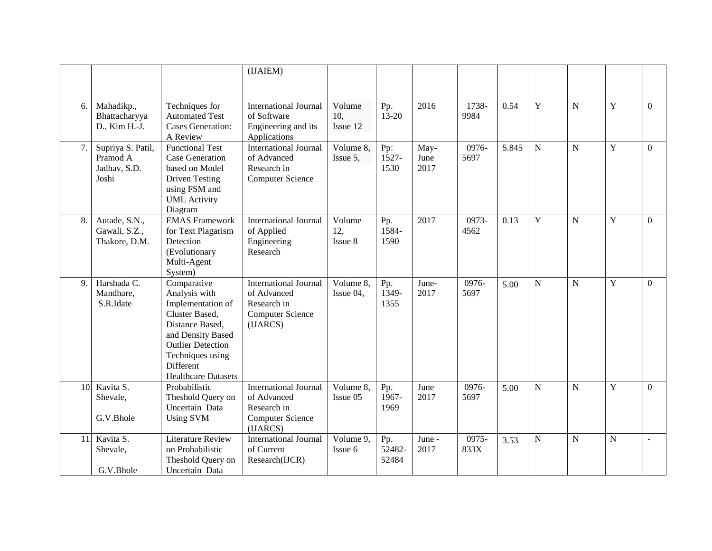|     |                                                        |                                                                                                                                                                                                        | (IJAIEM)                                                                                          |                           |                        |                      |               |       |                |                |             |                |
|-----|--------------------------------------------------------|--------------------------------------------------------------------------------------------------------------------------------------------------------------------------------------------------------|---------------------------------------------------------------------------------------------------|---------------------------|------------------------|----------------------|---------------|-------|----------------|----------------|-------------|----------------|
|     |                                                        |                                                                                                                                                                                                        |                                                                                                   |                           |                        |                      |               |       |                |                |             |                |
| 6.  | Mahadikp.,<br>Bhattacharyya<br>D., Kim H.-J.           | Techniques for<br><b>Automated Test</b><br><b>Cases Generation:</b><br>A Review                                                                                                                        | <b>International Journal</b><br>of Software<br>Engineering and its<br>Applications                | Volume<br>10.<br>Issue 12 | Pp.<br>$13 - 20$       | 2016                 | 1738-<br>9984 | 0.54  | $\overline{Y}$ | $\mathbf N$    | Y           | $\overline{0}$ |
| 7.  | Supriya S. Patil,<br>Pramod A<br>Jadhav, S.D.<br>Joshi | <b>Functional Test</b><br><b>Case Generation</b><br>based on Model<br><b>Driven Testing</b><br>using FSM and<br><b>UML</b> Activity<br>Diagram                                                         | <b>International Journal</b><br>of Advanced<br>Research in<br><b>Computer Science</b>             | Volume 8,<br>Issue 5,     | Pp:<br>1527-<br>1530   | May-<br>June<br>2017 | 0976-<br>5697 | 5.845 | $\mathbf N$    | $\overline{N}$ | Y           | $\Omega$       |
| 8.  | Autade, S.N.,<br>Gawali, S.Z.,<br>Thakore, D.M.        | <b>EMAS</b> Framework<br>for Text Plagarism<br>Detection<br>(Evolutionary<br>Multi-Agent<br>System)                                                                                                    | <b>International Journal</b><br>of Applied<br>Engineering<br>Research                             | Volume<br>12,<br>Issue 8  | Pp.<br>1584-<br>1590   | 2017                 | 0973-<br>4562 | 0.13  | $\mathbf Y$    | $\overline{N}$ | Y           | $\overline{0}$ |
| 9.  | Harshada C.<br>Mandhare,<br>S.R.Idate                  | Comparative<br>Analysis with<br>Implementation of<br>Cluster Based,<br>Distance Based,<br>and Density Based<br><b>Outlier Detection</b><br>Techniques using<br>Different<br><b>Healthcare Datasets</b> | <b>International Journal</b><br>of Advanced<br>Research in<br><b>Computer Science</b><br>(IJARCS) | Volume 8,<br>Issue 04,    | Pp.<br>1349-<br>1355   | June-<br>2017        | 0976-<br>5697 | 5.00  | $\overline{N}$ | $\overline{N}$ | Y           | $\mathbf{0}$   |
| 10. | Kavita S.<br>Shevale,<br>G.V.Bhole                     | Probabilistic<br>Theshold Query on<br>Uncertain Data<br><b>Using SVM</b>                                                                                                                               | <b>International Journal</b><br>of Advanced<br>Research in<br><b>Computer Science</b>             | Volume 8,<br>Issue 05     | Pp.<br>1967-<br>1969   | June<br>2017         | 0976-<br>5697 | 5.00  | $\overline{N}$ | N              | Y           | $\Omega$       |
| 11  | Kavita S.<br>Shevale,<br>G.V.Bhole                     | <b>Literature Review</b><br>on Probabilistic<br>Theshold Query on<br>Uncertain Data                                                                                                                    | (IJARCS)<br><b>International Journal</b><br>of Current<br>Research(IJCR)                          | Volume 9,<br>Issue 6      | Pp.<br>52482-<br>52484 | June -<br>2017       | 0975-<br>833X | 3.53  | $\mathbf N$    | $\overline{N}$ | $\mathbf N$ | $\overline{a}$ |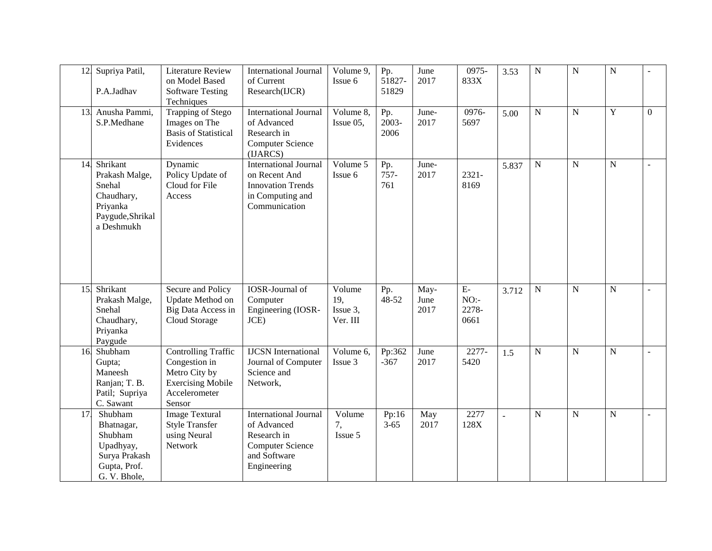| 12 | Supriya Patil,<br>P.A.Jadhav                                                                     | <b>Literature Review</b><br>on Model Based<br><b>Software Testing</b><br>Techniques                                 | <b>International Journal</b><br>of Current<br>Research(IJCR)                                                         | Volume 9,<br>Issue 6                       | Pp.<br>51827-<br>51829 | June<br>2017         | 0975-<br>833X                | 3.53  | ${\bf N}$      | $\mathbf N$    | $\overline{N}$ |                |
|----|--------------------------------------------------------------------------------------------------|---------------------------------------------------------------------------------------------------------------------|----------------------------------------------------------------------------------------------------------------------|--------------------------------------------|------------------------|----------------------|------------------------------|-------|----------------|----------------|----------------|----------------|
| 13 | Anusha Pammi,<br>S.P.Medhane                                                                     | Trapping of Stego<br>Images on The<br><b>Basis of Statistical</b><br>Evidences                                      | <b>International Journal</b><br>of Advanced<br>Research in<br><b>Computer Science</b><br>(IJARCS)                    | $\overline{\text{Volume}}$ 8,<br>Issue 05, | Pp.<br>2003-<br>2006   | June-<br>2017        | 0976-<br>5697                | 5.00  | $\overline{N}$ | $\mathbf N$    | Y              | $\Omega$       |
| 14 | Shrikant<br>Prakash Malge,<br>Snehal<br>Chaudhary,<br>Priyanka<br>Paygude, Shrikal<br>a Deshmukh | Dynamic<br>Policy Update of<br>Cloud for File<br>Access                                                             | <b>International Journal</b><br>on Recent And<br><b>Innovation Trends</b><br>in Computing and<br>Communication       | Volume 5<br>Issue 6                        | Pp.<br>$757 -$<br>761  | June-<br>2017        | $2321 -$<br>8169             | 5.837 | $\mathbf N$    | $\mathbf N$    | $\mathbf N$    |                |
| 15 | Shrikant<br>Prakash Malge,<br>Snehal<br>Chaudhary,<br>Priyanka<br>Paygude                        | Secure and Policy<br>Update Method on<br>Big Data Access in<br>Cloud Storage                                        | <b>IOSR-Journal of</b><br>Computer<br>Engineering (IOSR-<br>JCE                                                      | Volume<br>19,<br>Issue 3,<br>Ver. III      | Pp.<br>48-52           | May-<br>June<br>2017 | $E-$<br>NO:<br>2278-<br>0661 | 3.712 | ${\bf N}$      | $\overline{N}$ | ${\bf N}$      | $\overline{a}$ |
| 16 | Shubham<br>Gupta;<br>Maneesh<br>Ranjan; T. B.<br>Patil; Supriya<br>C. Sawant                     | <b>Controlling Traffic</b><br>Congestion in<br>Metro City by<br><b>Exercising Mobile</b><br>Accelerometer<br>Sensor | <b>IJCSN</b> International<br>Journal of Computer<br>Science and<br>Network,                                         | Volume 6,<br>Issue 3                       | Pp:362<br>$-367$       | June<br>2017         | 2277-<br>5420                | 1.5   | $\mathbf N$    | $\mathbf N$    | $\mathbf N$    |                |
| 17 | Shubham<br>Bhatnagar,<br>Shubham<br>Upadhyay,<br>Surya Prakash<br>Gupta, Prof.<br>G. V. Bhole,   | <b>Image Textural</b><br><b>Style Transfer</b><br>using Neural<br>Network                                           | <b>International Journal</b><br>of Advanced<br>Research in<br><b>Computer Science</b><br>and Software<br>Engineering | Volume<br>7,<br>Issue 5                    | Pp:16<br>$3 - 65$      | May<br>2017          | 2277<br>128X                 |       | $\mathbf N$    | $\mathbf N$    | $\mathbf N$    |                |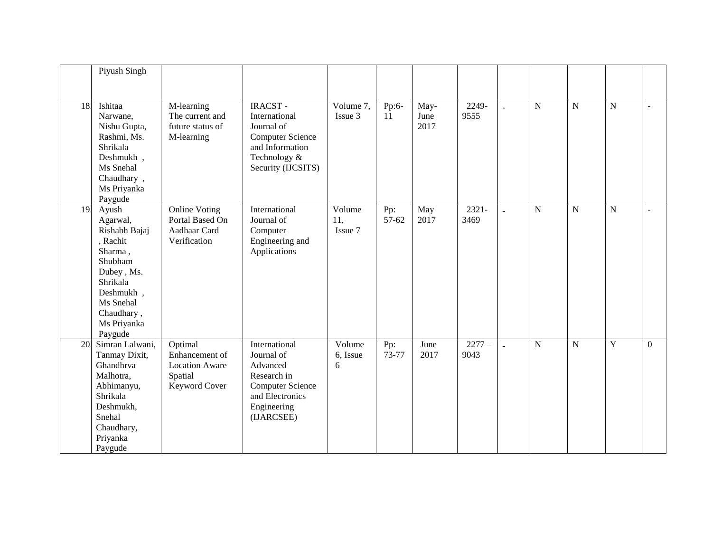|     | Piyush Singh                                                                                                                                                     |                                                                                |                                                                                                                                   |                          |              |                      |                 |                |             |             |             |                |
|-----|------------------------------------------------------------------------------------------------------------------------------------------------------------------|--------------------------------------------------------------------------------|-----------------------------------------------------------------------------------------------------------------------------------|--------------------------|--------------|----------------------|-----------------|----------------|-------------|-------------|-------------|----------------|
| 18  | Ishitaa<br>Narwane,<br>Nishu Gupta,<br>Rashmi, Ms.<br>Shrikala<br>Deshmukh,<br>Ms Snehal<br>Chaudhary,<br>Ms Priyanka<br>Paygude                                 | M-learning<br>The current and<br>future status of<br>M-learning                | <b>IRACST-</b><br>International<br>Journal of<br><b>Computer Science</b><br>and Information<br>Technology &<br>Security (IJCSITS) | Volume 7,<br>Issue 3     | Pp:6-<br>11  | May-<br>June<br>2017 | 2249-<br>9555   | $\equiv$       | $\mathbf N$ | $\mathbf N$ | $\mathbf N$ | $\mathbf{r}$   |
| 19  | Ayush<br>Agarwal,<br>Rishabh Bajaj<br>, Rachit<br>Sharma,<br>Shubham<br>Dubey, Ms.<br>Shrikala<br>Deshmukh,<br>Ms Snehal<br>Chaudhary,<br>Ms Priyanka<br>Paygude | <b>Online Voting</b><br>Portal Based On<br>Aadhaar Card<br>Verification        | International<br>Journal of<br>Computer<br>Engineering and<br>Applications                                                        | Volume<br>11,<br>Issue 7 | Pp:<br>57-62 | May<br>2017          | 2321-<br>3469   | $\sim$         | $\mathbf N$ | $\mathbf N$ | $\mathbf N$ | $\sim$         |
| 20. | Simran Lalwani,<br>Tanmay Dixit,<br>Ghandhrva<br>Malhotra,<br>Abhimanyu,<br>Shrikala<br>Deshmukh,<br>Snehal<br>Chaudhary,<br>Priyanka<br>Paygude                 | Optimal<br>Enhancement of<br><b>Location Aware</b><br>Spatial<br>Keyword Cover | International<br>Journal of<br>Advanced<br>Research in<br><b>Computer Science</b><br>and Electronics<br>Engineering<br>(IJARCSEE) | Volume<br>6, Issue<br>6  | Pp:<br>73-77 | June<br>2017         | $2277-$<br>9043 | $\overline{a}$ | $\mathbf N$ | $\mathbf N$ | Y           | $\overline{0}$ |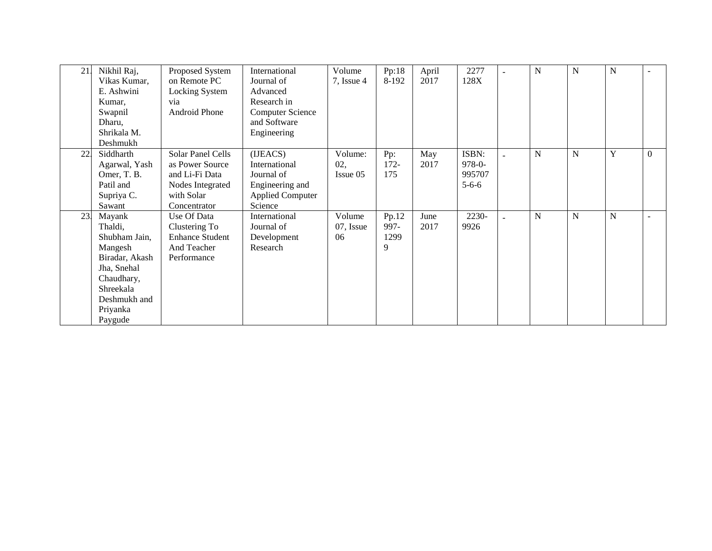| 21 | Nikhil Raj,<br>Vikas Kumar,<br>E. Ashwini<br>Kumar,<br>Swapnil<br>Dharu,                                                                         | Proposed System<br>on Remote PC<br>Locking System<br>via<br>Android Phone                                | International<br>Journal of<br>Advanced<br>Research in<br><b>Computer Science</b><br>and Software | Volume<br>$7$ , Issue 4    | Pp:18<br>8-192             | April<br>2017 | 2277<br>128X                                  | N           | N         | N |          |
|----|--------------------------------------------------------------------------------------------------------------------------------------------------|----------------------------------------------------------------------------------------------------------|---------------------------------------------------------------------------------------------------|----------------------------|----------------------------|---------------|-----------------------------------------------|-------------|-----------|---|----------|
|    | Shrikala M.<br>Deshmukh                                                                                                                          |                                                                                                          | Engineering                                                                                       |                            |                            |               |                                               |             |           |   |          |
| 22 | Siddharth<br>Agarwal, Yash<br>Omer, T. B.<br>Patil and<br>Supriya C.<br>Sawant                                                                   | Solar Panel Cells<br>as Power Source<br>and Li-Fi Data<br>Nodes Integrated<br>with Solar<br>Concentrator | (IJEACS)<br>International<br>Journal of<br>Engineering and<br><b>Applied Computer</b><br>Science  | Volume:<br>02,<br>Issue 05 | Pp:<br>$172 -$<br>175      | May<br>2017   | ISBN:<br>$978 - 0 -$<br>995707<br>$5 - 6 - 6$ | $\mathbf N$ | ${\bf N}$ | Y | $\Omega$ |
| 23 | Mayank<br>Thaldi,<br>Shubham Jain,<br>Mangesh<br>Biradar, Akash<br>Jha, Snehal<br>Chaudhary,<br>Shreekala<br>Deshmukh and<br>Priyanka<br>Paygude | Use Of Data<br>Clustering To<br><b>Enhance Student</b><br>And Teacher<br>Performance                     | International<br>Journal of<br>Development<br>Research                                            | Volume<br>07, Issue<br>06  | Pp.12<br>997-<br>1299<br>9 | June<br>2017  | 2230-<br>9926                                 | N           | N         | N | $\sim$   |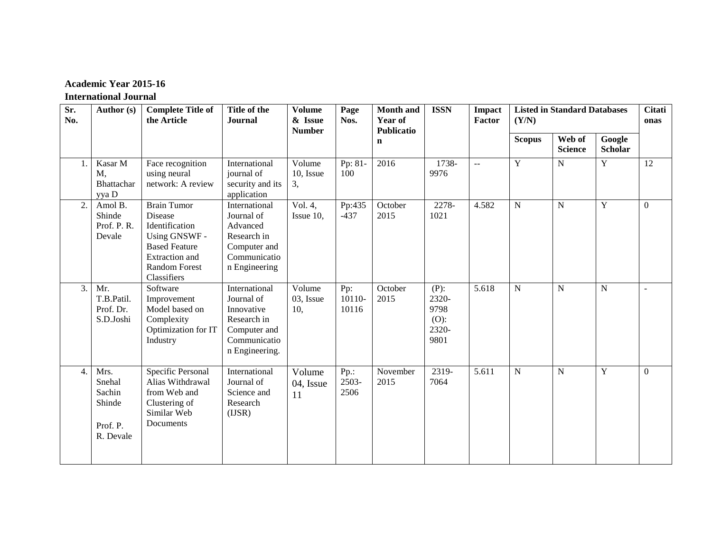# **Academic Year 2015-16**

### **International Journal**

| Sr.<br>No. | Author (s)                                                  | <b>Complete Title of</b><br>the Article                                                                                                                  | Title of the<br><b>Journal</b>                                                                             | <b>Volume</b><br>& Issue<br><b>Number</b> | Page<br>Nos.             | <b>Month</b> and<br>Year of<br><b>Publicatio</b> | <b>ISSN</b>                                          | <b>Impact</b><br><b>Factor</b> | (Y/N)          | <b>Listed in Standard Databases</b> |                          | <b>Citati</b><br>onas |
|------------|-------------------------------------------------------------|----------------------------------------------------------------------------------------------------------------------------------------------------------|------------------------------------------------------------------------------------------------------------|-------------------------------------------|--------------------------|--------------------------------------------------|------------------------------------------------------|--------------------------------|----------------|-------------------------------------|--------------------------|-----------------------|
|            |                                                             |                                                                                                                                                          |                                                                                                            |                                           |                          | $\mathbf n$                                      |                                                      |                                | <b>Scopus</b>  | Web of<br><b>Science</b>            | Google<br><b>Scholar</b> |                       |
| 1.         | Kasar M<br>M,<br>Bhattachar<br>yya D                        | Face recognition<br>using neural<br>network: A review                                                                                                    | International<br>journal of<br>security and its<br>application                                             | Volume<br>10, Issue<br>3,                 | Pp: 81-<br>100           | 2016                                             | 1738-<br>9976                                        | $\overline{a}$                 | $\mathbf Y$    | ${\bf N}$                           | $\mathbf Y$              | 12                    |
| 2.         | Amol B.<br>Shinde<br>Prof. P.R.<br>Devale                   | <b>Brain Tumor</b><br>Disease<br>Identification<br>Using GNSWF -<br><b>Based Feature</b><br><b>Extraction</b> and<br><b>Random Forest</b><br>Classifiers | International<br>Journal of<br>Advanced<br>Research in<br>Computer and<br>Communicatio<br>n Engineering    | Vol. 4,<br>Issue 10,                      | Pp:435<br>$-437$         | October<br>2015                                  | 2278-<br>1021                                        | 4.582                          | $\overline{N}$ | $\mathbf N$                         | Y                        | $\theta$              |
| 3.         | Mr.<br>T.B.Patil.<br>Prof. Dr.<br>S.D.Joshi                 | Software<br>Improvement<br>Model based on<br>Complexity<br>Optimization for IT<br>Industry                                                               | International<br>Journal of<br>Innovative<br>Research in<br>Computer and<br>Communicatio<br>n Engineering. | Volume<br>03, Issue<br>10,                | Pp:<br>10110-<br>10116   | October<br>2015                                  | $(P)$ :<br>2320-<br>9798<br>$(O)$ :<br>2320-<br>9801 | 5.618                          | ${\bf N}$      | N                                   | N                        |                       |
| 4.         | Mrs.<br>Snehal<br>Sachin<br>Shinde<br>Prof. P.<br>R. Devale | Specific Personal<br>Alias Withdrawal<br>from Web and<br>Clustering of<br>Similar Web<br>Documents                                                       | International<br>Journal of<br>Science and<br>Research<br>(IJSR)                                           | Volume<br>04, Issue<br>11                 | $Pp$ .:<br>2503-<br>2506 | November<br>2015                                 | 2319-<br>7064                                        | 5.611                          | ${\bf N}$      | N                                   | Y                        | $\overline{0}$        |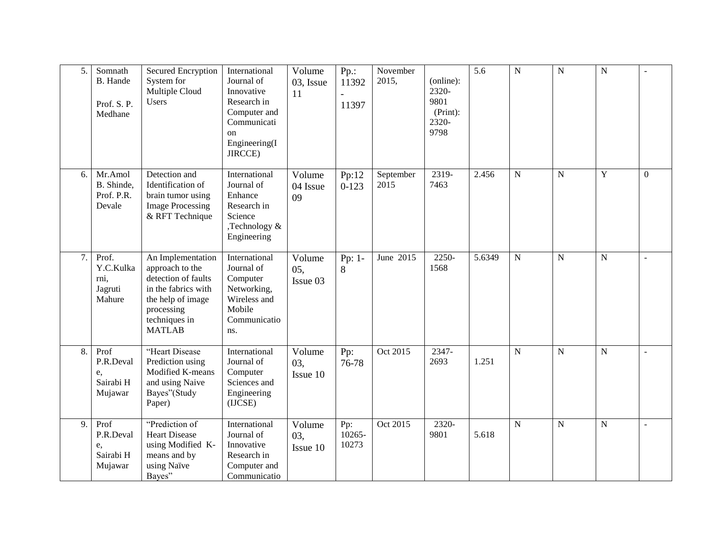| 5. | Somnath<br>B. Hande<br>Prof. S.P.<br>Medhane    | Secured Encryption<br>System for<br>Multiple Cloud<br>Users                                                                                             | International<br>Journal of<br>Innovative<br>Research in<br>Computer and<br>Communicati<br>on<br>Engineering(I<br>JIRCCE) | Volume<br>03, Issue<br>11 | $Pp$ .:<br>11392<br>11397 | November<br>2015, | (online):<br>2320-<br>9801<br>(Print):<br>2320-<br>9798 | $\overline{5.6}$ | $\overline{N}$ | $\overline{N}$ | $\overline{N}$ |              |
|----|-------------------------------------------------|---------------------------------------------------------------------------------------------------------------------------------------------------------|---------------------------------------------------------------------------------------------------------------------------|---------------------------|---------------------------|-------------------|---------------------------------------------------------|------------------|----------------|----------------|----------------|--------------|
| 6. | Mr.Amol<br>B. Shinde.<br>Prof. P.R.<br>Devale   | Detection and<br>Identification of<br>brain tumor using<br><b>Image Processing</b><br>& RFT Technique                                                   | International<br>Journal of<br>Enhance<br>Research in<br>Science<br>Technology &<br>Engineering                           | Volume<br>04 Issue<br>09  | Pp:12<br>$0-123$          | September<br>2015 | 2319-<br>7463                                           | 2.456            | ${\bf N}$      | $\mathbf N$    | Y              | $\mathbf{0}$ |
| 7. | Prof.<br>Y.C.Kulka<br>rni,<br>Jagruti<br>Mahure | An Implementation<br>approach to the<br>detection of faults<br>in the fabrics with<br>the help of image<br>processing<br>techniques in<br><b>MATLAB</b> | International<br>Journal of<br>Computer<br>Networking,<br>Wireless and<br>Mobile<br>Communicatio<br>ns.                   | Volume<br>05,<br>Issue 03 | Pp: 1-<br>8               | June 2015         | 2250-<br>1568                                           | 5.6349           | $\mathbf N$    | $\overline{N}$ | $\mathbf N$    |              |
| 8. | Prof<br>P.R.Deval<br>e,<br>Sairabi H<br>Mujawar | "Heart Disease<br>Prediction using<br>Modified K-means<br>and using Naive<br>Bayes"(Study<br>Paper)                                                     | International<br>Journal of<br>Computer<br>Sciences and<br>Engineering<br>(IJCSE)                                         | Volume<br>03,<br>Issue 10 | Pp:<br>76-78              | Oct 2015          | 2347-<br>2693                                           | 1.251            | $\mathbf N$    | $\mathbf N$    | ${\bf N}$      |              |
| 9. | Prof<br>P.R.Deval<br>e,<br>Sairabi H<br>Mujawar | "Prediction of<br><b>Heart Disease</b><br>using Modified K-<br>means and by<br>using Naïve<br>Bayes"                                                    | International<br>Journal of<br>Innovative<br>Research in<br>Computer and<br>Communicatio                                  | Volume<br>03,<br>Issue 10 | Pp:<br>10265-<br>10273    | Oct 2015          | 2320-<br>9801                                           | 5.618            | $\overline{N}$ | $\overline{N}$ | $\mathbf N$    |              |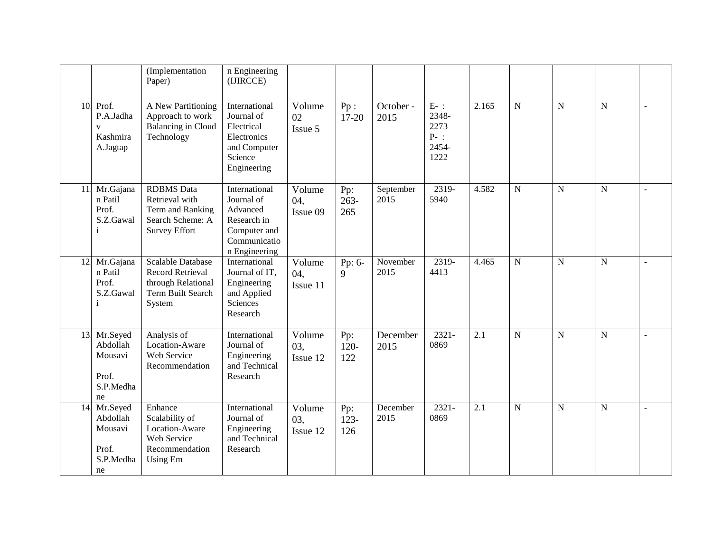|     |                                                                       | (Implementation<br>Paper)                                                                                | n Engineering<br>(IJIRCCE)                                                                              |                           |                       |                   |                                                    |                  |                |                |             |  |
|-----|-----------------------------------------------------------------------|----------------------------------------------------------------------------------------------------------|---------------------------------------------------------------------------------------------------------|---------------------------|-----------------------|-------------------|----------------------------------------------------|------------------|----------------|----------------|-------------|--|
| 10. | Prof.<br>P.A.Jadha<br>$\overline{\mathbf{V}}$<br>Kashmira<br>A.Jagtap | A New Partitioning<br>Approach to work<br><b>Balancing</b> in Cloud<br>Technology                        | International<br>Journal of<br>Electrical<br>Electronics<br>and Computer<br>Science<br>Engineering      | Volume<br>02<br>Issue 5   | Pp:<br>$17 - 20$      | October -<br>2015 | $E-$ :<br>2348-<br>2273<br>$P-$ :<br>2454-<br>1222 | 2.165            | ${\bf N}$      | ${\bf N}$      | ${\bf N}$   |  |
| 11  | Mr.Gajana<br>n Patil<br>Prof.<br>S.Z.Gawal<br>$\mathbf{i}$            | <b>RDBMS</b> Data<br>Retrieval with<br>Term and Ranking<br>Search Scheme: A<br><b>Survey Effort</b>      | International<br>Journal of<br>Advanced<br>Research in<br>Computer and<br>Communicatio<br>n Engineering | Volume<br>04.<br>Issue 09 | Pp:<br>$263-$<br>265  | September<br>2015 | 2319-<br>5940                                      | 4.582            | $\overline{N}$ | $\overline{N}$ | ${\bf N}$   |  |
| 12. | Mr.Gajana<br>n Patil<br>Prof.<br>S.Z.Gawal<br>$\mathbf{i}$            | <b>Scalable Database</b><br><b>Record Retrieval</b><br>through Relational<br>Term Built Search<br>System | International<br>Journal of IT,<br>Engineering<br>and Applied<br>Sciences<br>Research                   | Volume<br>04.<br>Issue 11 | Pp: 6-<br>9           | November<br>2015  | 2319-<br>4413                                      | 4.465            | $\mathbf N$    | N              | $\mathbf N$ |  |
| 13. | Mr.Seyed<br>Abdollah<br>Mousavi<br>Prof.<br>S.P.Medha<br>ne           | Analysis of<br>Location-Aware<br>Web Service<br>Recommendation                                           | International<br>Journal of<br>Engineering<br>and Technical<br>Research                                 | Volume<br>03.<br>Issue 12 | Pp:<br>$120 -$<br>122 | December<br>2015  | $2321 -$<br>0869                                   | $\overline{2.1}$ | ${\bf N}$      | ${\bf N}$      | ${\bf N}$   |  |
| 14. | Mr.Seyed<br>Abdollah<br>Mousavi<br>Prof.<br>S.P.Medha<br>ne           | Enhance<br>Scalability of<br>Location-Aware<br>Web Service<br>Recommendation<br><b>Using Em</b>          | International<br>Journal of<br>Engineering<br>and Technical<br>Research                                 | Volume<br>03,<br>Issue 12 | Pp:<br>$123 -$<br>126 | December<br>2015  | $2321 -$<br>0869                                   | 2.1              | $\mathbf N$    | ${\bf N}$      | ${\bf N}$   |  |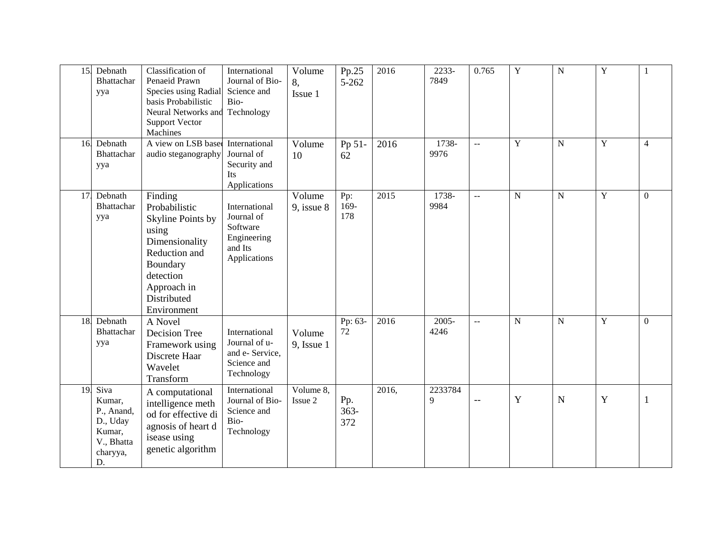| 15. | Debnath<br>Bhattachar<br>yya                                                       | Classification of<br>Penaeid Prawn<br>Species using Radial<br>basis Probabilistic<br>Neural Networks and<br><b>Support Vector</b><br>Machines                   | International<br>Journal of Bio-<br>Science and<br>Bio-<br>Technology             | Volume<br>8,<br>Issue 1   | Pp.25<br>5-262        | 2016  | 2233-<br>7849    | 0.765                     | $\overline{Y}$ | $\overline{N}$ | $\overline{Y}$ | 1              |
|-----|------------------------------------------------------------------------------------|-----------------------------------------------------------------------------------------------------------------------------------------------------------------|-----------------------------------------------------------------------------------|---------------------------|-----------------------|-------|------------------|---------------------------|----------------|----------------|----------------|----------------|
| 16. | Debnath<br>Bhattachar<br>yya                                                       | A view on LSB based<br>audio steganography                                                                                                                      | International<br>Journal of<br>Security and<br><b>Its</b><br>Applications         | Volume<br>10              | Pp 51-<br>62          | 2016  | 1738-<br>9976    | $\sim$ $\sim$             | $\overline{Y}$ | ${\bf N}$      | Y              | $\overline{4}$ |
| 17. | Debnath<br>Bhattachar<br>yya                                                       | Finding<br>Probabilistic<br>Skyline Points by<br>using<br>Dimensionality<br>Reduction and<br>Boundary<br>detection<br>Approach in<br>Distributed<br>Environment | International<br>Journal of<br>Software<br>Engineering<br>and Its<br>Applications | Volume<br>$9$ , issue $8$ | Pp:<br>169-<br>178    | 2015  | 1738-<br>9984    | $\sim$ $\sim$             | ${\bf N}$      | ${\bf N}$      | $\mathbf Y$    | $\overline{0}$ |
| 18. | Debnath<br>Bhattachar<br>yya                                                       | A Novel<br>Decision Tree<br>Framework using<br>Discrete Haar<br>Wavelet<br>Transform                                                                            | International<br>Journal of u-<br>and e- Service,<br>Science and<br>Technology    | Volume<br>9, Issue 1      | Pp: $63-$<br>72       | 2016  | $2005 -$<br>4246 | $\mathbb{L}^{\mathbb{L}}$ | N              | $\mathbf N$    | Y              | $\Omega$       |
| 19. | Siva<br>Kumar,<br>P., Anand,<br>D., Uday<br>Kumar,<br>V., Bhatta<br>charyya,<br>D. | A computational<br>intelligence meth<br>od for effective di<br>agnosis of heart d<br>isease using<br>genetic algorithm                                          | International<br>Journal of Bio-<br>Science and<br>Bio-<br>Technology             | Volume 8,<br>Issue 2      | Pp.<br>$363 -$<br>372 | 2016, | 2233784<br>9     | $\overline{\phantom{m}}$  | Y              | $\mathbf N$    | Y              | $\mathbf{1}$   |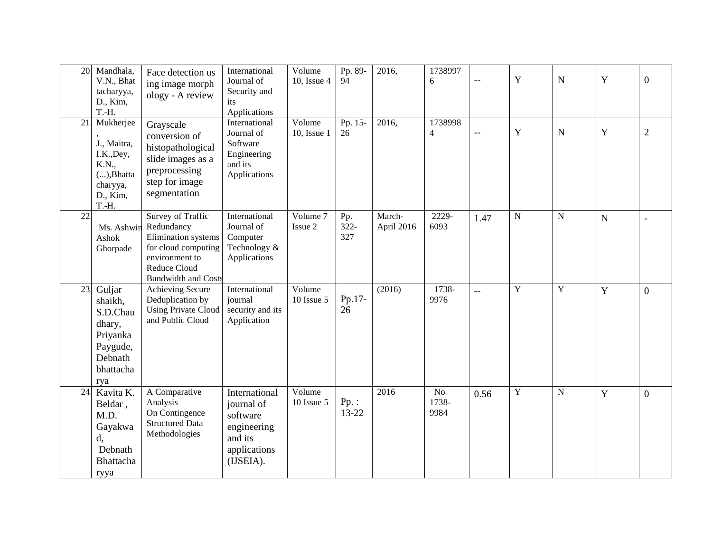| 20. | Mandhala,<br>V.N., Bhat<br>tacharyya,<br>D., Kim,<br>T.-H.                                        | Face detection us<br>ing image morph<br>ology - A review                                                                                             | International<br>Journal of<br>Security and<br>its<br>Applications                             | Volume<br>10, Issue 4 | Pp. 89-<br>94      | 2016,                | 1738997<br>6                    | $\overline{\phantom{m}}$ | $\mathbf Y$ | $\mathbf N$    | Y | $\overline{0}$ |
|-----|---------------------------------------------------------------------------------------------------|------------------------------------------------------------------------------------------------------------------------------------------------------|------------------------------------------------------------------------------------------------|-----------------------|--------------------|----------------------|---------------------------------|--------------------------|-------------|----------------|---|----------------|
| 21. | Mukherjee<br>J., Maitra,<br>I.K., Dey,<br>K.N.,<br>$()$ , Bhatta<br>charyya,<br>D., Kim,<br>T.-H. | Grayscale<br>conversion of<br>histopathological<br>slide images as a<br>preprocessing<br>step for image<br>segmentation                              | International<br>Journal of<br>Software<br>Engineering<br>and its<br>Applications              | Volume<br>10, Issue 1 | Pp. 15-<br>26      | 2016,                | 1738998<br>$\overline{4}$       | $\overline{\phantom{m}}$ | Y           | $\mathbf N$    | Y | $\overline{2}$ |
| 22. | Ms. Ashwin<br>Ashok<br>Ghorpade                                                                   | Survey of Traffic<br>Redundancy<br>Elimination systems<br>for cloud computing<br>environment to<br><b>Reduce Cloud</b><br><b>Bandwidth and Costs</b> | International<br>Journal of<br>Computer<br>Technology &<br>Applications                        | Volume 7<br>Issue 2   | Pp.<br>322-<br>327 | March-<br>April 2016 | 2229-<br>6093                   | 1.47                     | ${\bf N}$   | $\mathbf N$    | N |                |
| 23. | Guljar<br>shaikh,<br>S.D.Chau<br>dhary,<br>Priyanka<br>Paygude,<br>Debnath<br>bhattacha<br>rya    | <b>Achieving Secure</b><br>Deduplication by<br><b>Using Private Cloud</b><br>and Public Cloud                                                        | International<br>journal<br>security and its<br>Application                                    | Volume<br>10 Issue 5  | Pp.17-<br>26       | (2016)               | 1738-<br>9976                   | $\overline{a}$           | Y           | $\overline{Y}$ | Y | $\overline{0}$ |
| 24. | Kavita K.<br>Beldar,<br>M.D.<br>Gayakwa<br>d,<br>Debnath<br>Bhattacha<br>ryya                     | A Comparative<br>Analysis<br>On Contingence<br><b>Structured Data</b><br>Methodologies                                                               | International<br>journal of<br>software<br>engineering<br>and its<br>applications<br>(IJSEIA). | Volume<br>10 Issue 5  | $Pp$ .:<br>13-22   | 2016                 | N <sub>o</sub><br>1738-<br>9984 | 0.56                     | $\mathbf Y$ | ${\bf N}$      | Y | $\overline{0}$ |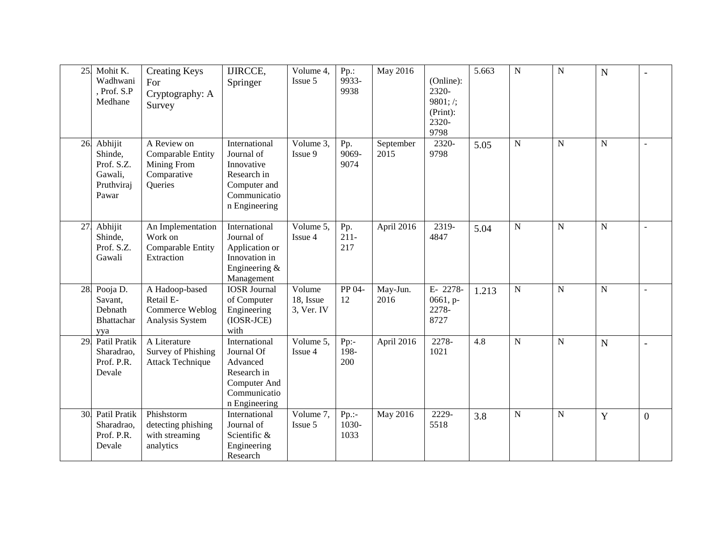| 25. | Mohit K.<br>Wadhwani<br>, Prof. S.P<br>Medhane                     | <b>Creating Keys</b><br>For<br>Cryptography: A<br>Survey                  | <b>IJIRCCE,</b><br>Springer                                                                               | Volume 4,<br>Issue 5              | Pp.:<br>9933-<br>9938     | May 2016          | (Online):<br>2320-<br>9801; /;<br>(Print):<br>2320-<br>9798 | 5.663 | $\overline{N}$ | ${\bf N}$   | N           |                |
|-----|--------------------------------------------------------------------|---------------------------------------------------------------------------|-----------------------------------------------------------------------------------------------------------|-----------------------------------|---------------------------|-------------------|-------------------------------------------------------------|-------|----------------|-------------|-------------|----------------|
| 26. | Abhijit<br>Shinde,<br>Prof. S.Z.<br>Gawali,<br>Pruthviraj<br>Pawar | A Review on<br>Comparable Entity<br>Mining From<br>Comparative<br>Queries | International<br>Journal of<br>Innovative<br>Research in<br>Computer and<br>Communicatio<br>n Engineering | Volume $3$ ,<br>Issue 9           | Pp.<br>9069-<br>9074      | September<br>2015 | 2320-<br>9798                                               | 5.05  | ${\bf N}$      | $\mathbf N$ | $\mathbf N$ |                |
| 27. | Abhijit<br>Shinde,<br>Prof. S.Z.<br>Gawali                         | An Implementation<br>Work on<br>Comparable Entity<br>Extraction           | International<br>Journal of<br>Application or<br>Innovation in<br>Engineering &<br>Management             | Volume 5,<br>Issue 4              | Pp.<br>$211 -$<br>217     | April 2016        | 2319-<br>4847                                               | 5.04  | ${\bf N}$      | $\mathbf N$ | $\mathbf N$ |                |
| 28. | Pooja D.<br>Savant,<br>Debnath<br>Bhattachar<br>ууа                | A Hadoop-based<br>Retail E-<br>Commerce Weblog<br>Analysis System         | <b>IOSR</b> Journal<br>of Computer<br>Engineering<br>$(IOSR-JCE)$<br>with                                 | Volume<br>18, Issue<br>3, Ver. IV | PP 04-<br>12              | May-Jun.<br>2016  | E-2278-<br>0661, p-<br>2278-<br>8727                        | 1.213 | ${\bf N}$      | $\mathbf N$ | $\mathbf N$ |                |
| 29. | Patil Pratik<br>Sharadrao,<br>Prof. P.R.<br>Devale                 | A Literature<br>Survey of Phishing<br><b>Attack Technique</b>             | International<br>Journal Of<br>Advanced<br>Research in<br>Computer And<br>Communicatio<br>n Engineering   | Volume 5,<br>Issue 4              | $Pp$ :-<br>198-<br>200    | April 2016        | 2278-<br>1021                                               | 4.8   | ${\bf N}$      | $\mathbf N$ | N           |                |
| 30. | Patil Pratik<br>Sharadrao,<br>Prof. P.R.<br>Devale                 | Phishstorm<br>detecting phishing<br>with streaming<br>analytics           | International<br>Journal of<br>Scientific &<br>Engineering<br>Research                                    | Volume 7,<br>Issue 5              | $Pp$ .:-<br>1030-<br>1033 | May 2016          | 2229-<br>5518                                               | 3.8   | ${\bf N}$      | $\mathbf N$ | Y           | $\overline{0}$ |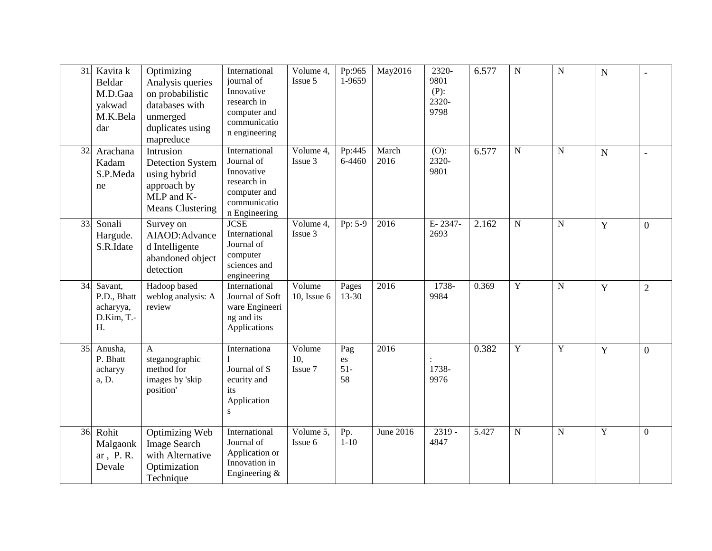| 31. | Kavita k<br>Beldar<br>M.D.Gaa<br>yakwad<br>M.K.Bela<br>dar | Optimizing<br>Analysis queries<br>on probabilistic<br>databases with<br>unmerged<br>duplicates using<br>mapreduce | International<br>journal of<br>Innovative<br>research in<br>computer and<br>communicatio<br>n engineering | Volume 4,<br>Issue 5     | Pp:965<br>1-9659         | May2016       | 2320-<br>9801<br>$(P)$ :<br>2320-<br>9798 | 6.577 | ${\bf N}$      | ${\bf N}$ | $\mathbf N$ |                  |
|-----|------------------------------------------------------------|-------------------------------------------------------------------------------------------------------------------|-----------------------------------------------------------------------------------------------------------|--------------------------|--------------------------|---------------|-------------------------------------------|-------|----------------|-----------|-------------|------------------|
| 32. | Arachana<br>Kadam<br>S.P.Meda<br>ne                        | Intrusion<br><b>Detection System</b><br>using hybrid<br>approach by<br>MLP and K-<br><b>Means Clustering</b>      | International<br>Journal of<br>Innovative<br>research in<br>computer and<br>communicatio<br>n Engineering | Volume 4,<br>Issue 3     | Pp:445<br>6-4460         | March<br>2016 | $(O)$ :<br>2320-<br>9801                  | 6.577 | ${\bf N}$      | ${\bf N}$ | N           |                  |
| 33. | Sonali<br>Hargude.<br>S.R.Idate                            | Survey on<br>AIAOD: Advance<br>d Intelligente<br>abandoned object<br>detection                                    | <b>JCSE</b><br>International<br>Journal of<br>computer<br>sciences and<br>engineering                     | Volume 4,<br>Issue 3     | Pp: 5-9                  | 2016          | E-2347-<br>2693                           | 2.162 | ${\bf N}$      | ${\bf N}$ | Y           | $\overline{0}$   |
| 34. | Savant,<br>P.D., Bhatt<br>acharyya,<br>D.Kim, T.-<br>H.    | Hadoop based<br>weblog analysis: A<br>review                                                                      | International<br>Journal of Soft<br>ware Engineeri<br>ng and its<br>Applications                          | Volume<br>10, Issue $6$  | Pages<br>13-30           | 2016          | 1738-<br>9984                             | 0.369 | $\mathbf Y$    | ${\bf N}$ | Y           | $\overline{2}$   |
| 35. | Anusha,<br>P. Bhatt<br>acharyy<br>a, D.                    | A<br>steganographic<br>method for<br>images by 'skip<br>position'                                                 | Internationa<br>Journal of S<br>ecurity and<br>its<br>Application<br>${\bf S}$                            | Volume<br>10,<br>Issue 7 | Pag<br>es<br>$51-$<br>58 | 2016          | 1738-<br>9976                             | 0.382 | $\overline{Y}$ | Y         | Y           | $\overline{0}$   |
| 36. | Rohit<br>Malgaonk<br>ar, P.R.<br>Devale                    | <b>Optimizing Web</b><br><b>Image Search</b><br>with Alternative<br>Optimization<br>Technique                     | International<br>Journal of<br>Application or<br>Innovation in<br>Engineering &                           | Volume $5$ ,<br>Issue 6  | Pp.<br>$1 - 10$          | June 2016     | $2319 -$<br>4847                          | 5.427 | ${\bf N}$      | ${\bf N}$ | Y           | $\boldsymbol{0}$ |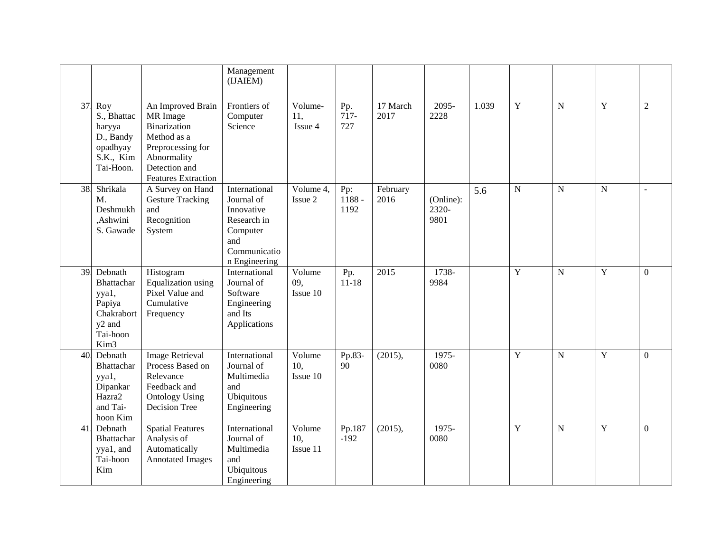|     |                                                                                                              |                                                                                                                                                        | Management<br>(IJAIEM)                                                                                       |                                |                         |                  |                            |       |                |                |             |                  |
|-----|--------------------------------------------------------------------------------------------------------------|--------------------------------------------------------------------------------------------------------------------------------------------------------|--------------------------------------------------------------------------------------------------------------|--------------------------------|-------------------------|------------------|----------------------------|-------|----------------|----------------|-------------|------------------|
| 37. | Roy<br>S., Bhattac<br>haryya<br>D., Bandy<br>opadhyay<br>S.K., Kim<br>Tai-Hoon.                              | An Improved Brain<br>MR Image<br><b>Binarization</b><br>Method as a<br>Preprocessing for<br>Abnormality<br>Detection and<br><b>Features Extraction</b> | Frontiers of<br>Computer<br>Science                                                                          | Volume-<br>11,<br>Issue 4      | Pp.<br>$717-$<br>727    | 17 March<br>2017 | 2095-<br>2228              | 1.039 | $\mathbf Y$    | ${\bf N}$      | $\mathbf Y$ | $\overline{2}$   |
| 38. | Shrikala<br>M.<br>Deshmukh<br>,Ashwini<br>S. Gawade                                                          | A Survey on Hand<br><b>Gesture Tracking</b><br>and<br>Recognition<br>System                                                                            | International<br>Journal of<br>Innovative<br>Research in<br>Computer<br>and<br>Communicatio<br>n Engineering | Volume 4,<br>Issue 2           | Pp:<br>$1188 -$<br>1192 | February<br>2016 | (Online):<br>2320-<br>9801 | 5.6   | $\overline{N}$ | $\overline{N}$ | ${\bf N}$   |                  |
| 39. | Debnath<br>Bhattachar<br>yya1,<br>Papiya<br>Chakrabort<br>y <sub>2</sub> and<br>Tai-hoon<br>Kim <sub>3</sub> | Histogram<br>Equalization using<br>Pixel Value and<br>Cumulative<br>Frequency                                                                          | International<br>Journal of<br>Software<br>Engineering<br>and Its<br>Applications                            | Volume<br>09,<br>Issue 10      | Pp.<br>$11 - 18$        | 2015             | 1738-<br>9984              |       | $\mathbf Y$    | ${\bf N}$      | $\mathbf Y$ | $\boldsymbol{0}$ |
| 40. | Debnath<br>Bhattachar<br>yya1,<br>Dipankar<br>Hazra2<br>and Tai-<br>hoon Kim                                 | <b>Image Retrieval</b><br>Process Based on<br>Relevance<br>Feedback and<br><b>Ontology Using</b><br>Decision Tree                                      | International<br>Journal of<br>Multimedia<br>and<br>Ubiquitous<br>Engineering                                | Volume<br>10,<br>$I$ ssue $10$ | Pp.83-<br>90            | (2015),          | 1975-<br>0080              |       | Y              | ${\bf N}$      | Y           | $\overline{0}$   |
| 41. | Debnath<br>Bhattachar<br>yya1, and<br>Tai-hoon<br>Kim                                                        | <b>Spatial Features</b><br>Analysis of<br>Automatically<br><b>Annotated Images</b>                                                                     | International<br>Journal of<br>Multimedia<br>and<br>Ubiquitous<br>Engineering                                | Volume<br>10,<br>Issue 11      | Pp.187<br>$-192$        | (2015),          | 1975-<br>0080              |       | Y              | N              | Y           | $\Omega$         |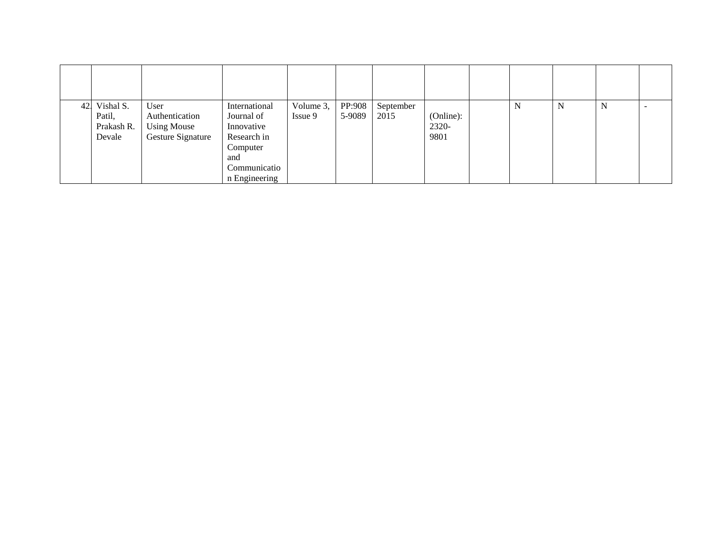| 42. | Vishal S.<br>Patil,<br>Prakash R.<br>Devale | User<br>Authentication<br><b>Using Mouse</b><br>Gesture Signature | International<br>Journal of<br>Innovative<br>Research in<br>Computer<br>and<br>Communicatio<br>n Engineering | Volume 3,<br>Issue 9 | PP:908<br>5-9089 | September<br>2015 | (Online):<br>2320-<br>9801 | N | N | N |  |
|-----|---------------------------------------------|-------------------------------------------------------------------|--------------------------------------------------------------------------------------------------------------|----------------------|------------------|-------------------|----------------------------|---|---|---|--|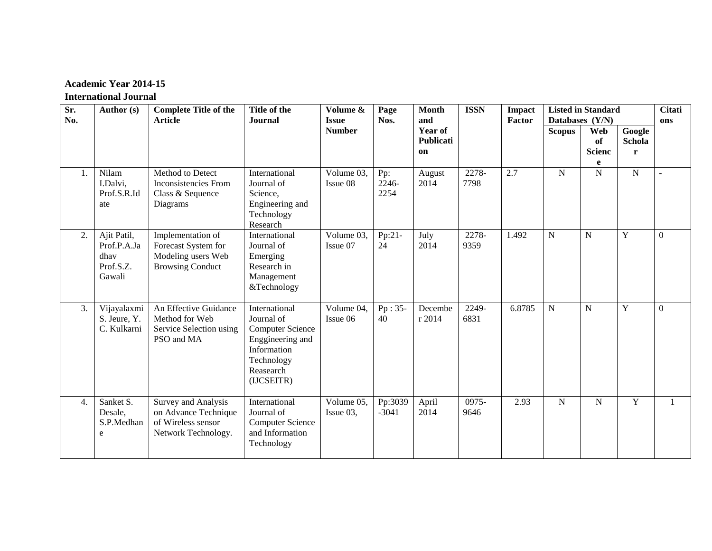# **Academic Year 2014-15**

### **International Journal**

| Sr.<br>No.       | Author (s)                                                | <b>Complete Title of the</b><br><b>Article</b>                                            | Title of the<br><b>Journal</b>                                                                                                     | Volume &<br><b>Issue</b> | Page<br>Nos.         | <b>Month</b><br>and        | <b>ISSN</b>   | <b>Impact</b><br>Factor | <b>Listed in Standard</b><br>Databases (Y/N) |                                        | <b>Citati</b><br>ons             |                  |
|------------------|-----------------------------------------------------------|-------------------------------------------------------------------------------------------|------------------------------------------------------------------------------------------------------------------------------------|--------------------------|----------------------|----------------------------|---------------|-------------------------|----------------------------------------------|----------------------------------------|----------------------------------|------------------|
|                  |                                                           |                                                                                           |                                                                                                                                    | <b>Number</b>            |                      | Year of<br>Publicati<br>on |               |                         | <b>Scopus</b>                                | <b>Web</b><br>of<br><b>Scienc</b><br>e | Google<br>Schola<br>$\mathbf{r}$ |                  |
| 1.               | Nilam<br>I.Dalvi,<br>Prof.S.R.Id<br>ate                   | Method to Detect<br>Inconsistencies From<br>Class & Sequence<br>Diagrams                  | International<br>Journal of<br>Science,<br>Engineering and<br>Technology<br>Research                                               | Volume 03,<br>Issue 08   | Pp:<br>2246-<br>2254 | August<br>2014             | 2278-<br>7798 | 2.7                     | ${\bf N}$                                    | $\mathbf N$                            | $\overline{N}$                   |                  |
| 2.               | Ajit Patil,<br>Prof.P.A.Ja<br>dhav<br>Prof.S.Z.<br>Gawali | Implementation of<br>Forecast System for<br>Modeling users Web<br><b>Browsing Conduct</b> | International<br>Journal of<br>Emerging<br>Research in<br>Management<br>&Technology                                                | Volume 03,<br>Issue 07   | Pp:21-<br>24         | July<br>2014               | 2278-<br>9359 | 1.492                   | $\mathbf N$                                  | $\mathbf N$                            | $\mathbf Y$                      | $\boldsymbol{0}$ |
| 3.               | Vijayalaxmi<br>S. Jeure, Y.<br>C. Kulkarni                | An Effective Guidance<br>Method for Web<br>Service Selection using<br>PSO and MA          | International<br>Journal of<br><b>Computer Science</b><br>Enggineering and<br>Information<br>Technology<br>Reasearch<br>(IJCSEITR) | Volume 04,<br>Issue 06   | $Pp: 35-$<br>40      | Decembe<br>r 2014          | 2249-<br>6831 | 6.8785                  | ${\bf N}$                                    | $\mathbf N$                            | $\mathbf Y$                      | $\Omega$         |
| $\overline{4}$ . | Sanket S.<br>Desale,<br>S.P.Medhan<br>e                   | Survey and Analysis<br>on Advance Technique<br>of Wireless sensor<br>Network Technology.  | International<br>Journal of<br><b>Computer Science</b><br>and Information<br>Technology                                            | Volume 05,<br>Issue 03,  | Pp:3039<br>$-3041$   | April<br>2014              | 0975-<br>9646 | 2.93                    | $\mathbf N$                                  | $\mathbf N$                            | Y                                | $\mathbf{1}$     |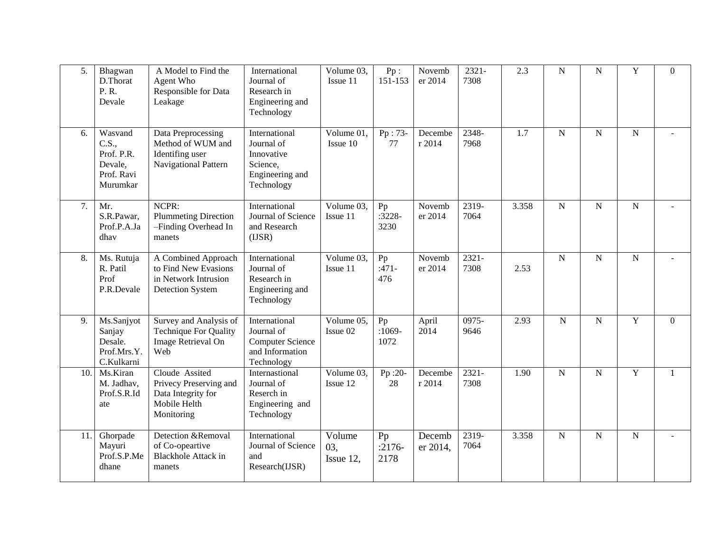| 5.  | Bhagwan<br>D.Thorat<br>P.R.<br>Devale                               | A Model to Find the<br>Agent Who<br>Responsible for Data<br>Leakage                          | International<br>Journal of<br>Research in<br>Engineering and<br>Technology             | Volume 03,<br>Issue 11                       | Pp:<br>151-153         | Novemb<br>er 2014  | $2321 -$<br>7308 | 2.3   | $\overline{N}$ | ${\bf N}$      | $\mathbf Y$    | $\theta$       |
|-----|---------------------------------------------------------------------|----------------------------------------------------------------------------------------------|-----------------------------------------------------------------------------------------|----------------------------------------------|------------------------|--------------------|------------------|-------|----------------|----------------|----------------|----------------|
| 6.  | Wasvand<br>C.S.,<br>Prof. P.R.<br>Devale,<br>Prof. Ravi<br>Murumkar | Data Preprocessing<br>Method of WUM and<br>Identifing user<br>Navigational Pattern           | International<br>Journal of<br>Innovative<br>Science,<br>Engineering and<br>Technology  | Volume 01,<br>Issue 10                       | Pp: 73-<br>77          | Decembe<br>r 2014  | 2348-<br>7968    | 1.7   | ${\bf N}$      | ${\bf N}$      | ${\bf N}$      |                |
| 7.  | Mr.<br>S.R.Pawar,<br>Prof.P.A.Ja<br>dhav                            | NCPR:<br><b>Plummeting Direction</b><br>-Finding Overhead In<br>manets                       | International<br>Journal of Science<br>and Research<br>(IJSR)                           | Volume 03,<br>Issue 11                       | Pp<br>$:3228-$<br>3230 | Novemb<br>er 2014  | 2319-<br>7064    | 3.358 | $\overline{N}$ | $\overline{N}$ | $\mathbf N$    | $\overline{a}$ |
| 8.  | Ms. Rutuja<br>R. Patil<br>Prof<br>P.R.Devale                        | A Combined Approach<br>to Find New Evasions<br>in Network Intrusion<br>Detection System      | International<br>Journal of<br>Research in<br>Engineering and<br>Technology             | $\sqrt{\frac{1}{10}}$ Volume 03,<br>Issue 11 | Pp<br>$:471-$<br>476   | Novemb<br>er 2014  | $2321 -$<br>7308 | 2.53  | $\overline{N}$ | $\mathbf N$    | $\overline{N}$ |                |
| 9.  | Ms.Sanjyot<br>Sanjay<br>Desale.<br>Prof.Mrs.Y.<br>C.Kulkarni        | Survey and Analysis of<br><b>Technique For Quality</b><br>Image Retrieval On<br>Web          | International<br>Journal of<br><b>Computer Science</b><br>and Information<br>Technology | Volume 05,<br>Issue 02                       | Pp<br>$:1069-$<br>1072 | April<br>2014      | 0975-<br>9646    | 2.93  | ${\bf N}$      | $\mathbf N$    | $\mathbf Y$    | $\theta$       |
| 10. | Ms.Kiran<br>M. Jadhav,<br>Prof.S.R.Id<br>ate                        | Cloude Assited<br>Privecy Preserving and<br>Data Integrity for<br>Mobile Helth<br>Monitoring | Internastional<br>Journal of<br>Reserch in<br>Engineering and<br>Technology             | Volume 03,<br>Issue 12                       | $Pp:20-$<br>28         | Decembe<br>r 2014  | $2321 -$<br>7308 | 1.90  | $\mathbf N$    | ${\bf N}$      | $\mathbf Y$    | -1             |
| 11. | Ghorpade<br>Mayuri<br>Prof.S.P.Me<br>dhane                          | Detection &Removal<br>of Co-opeartive<br><b>Blackhole Attack in</b><br>manets                | International<br>Journal of Science<br>and<br>Research(IJSR)                            | Volume<br>03,<br>Issue 12,                   | Pp<br>$:2176-$<br>2178 | Decemb<br>er 2014, | 2319-<br>7064    | 3.358 | $\mathbf N$    | $\mathbf N$    | ${\bf N}$      | $\overline{a}$ |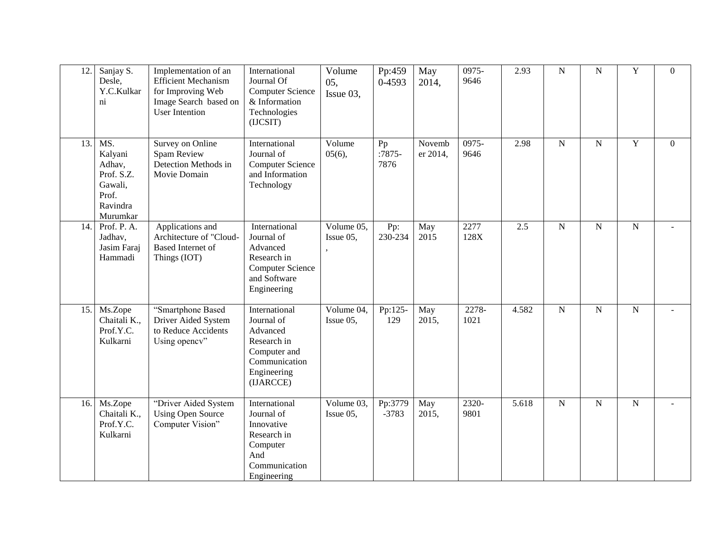| 12. | Sanjay S.                                                                          | Implementation of an                                                                              | International                                                                                                       | Volume                                        | Pp:459                 | May                | 0975-         | 2.93  | $\overline{N}$ | ${\bf N}$   | $\mathbf Y$    | $\theta$         |
|-----|------------------------------------------------------------------------------------|---------------------------------------------------------------------------------------------------|---------------------------------------------------------------------------------------------------------------------|-----------------------------------------------|------------------------|--------------------|---------------|-------|----------------|-------------|----------------|------------------|
|     | Desle,<br>Y.C.Kulkar<br>ni                                                         | <b>Efficient Mechanism</b><br>for Improving Web<br>Image Search based on<br><b>User Intention</b> | Journal Of<br><b>Computer Science</b><br>& Information<br>Technologies<br>(IJCSIT)                                  | 05,<br>Issue 03,                              | 0-4593                 | 2014,              | 9646          |       |                |             |                |                  |
| 13. | MS.<br>Kalyani<br>Adhav,<br>Prof. S.Z.<br>Gawali,<br>Prof.<br>Ravindra<br>Murumkar | Survey on Online<br>Spam Review<br>Detection Methods in<br>Movie Domain                           | International<br>Journal of<br><b>Computer Science</b><br>and Information<br>Technology                             | Volume<br>05(6),                              | Pp<br>$:7875-$<br>7876 | Novemb<br>er 2014, | 0975-<br>9646 | 2.98  | $\mathbf N$    | $\mathbf N$ | $\mathbf Y$    | $\boldsymbol{0}$ |
| 14. | Prof. P. A.<br>Jadhav,<br>Jasim Faraj<br>Hammadi                                   | Applications and<br>Architecture of "Cloud-<br>Based Internet of<br>Things (IOT)                  | International<br>Journal of<br>Advanced<br>Research in<br><b>Computer Science</b><br>and Software<br>Engineering    | Volume 05,<br>Issue 05,                       | Pp:<br>230-234         | May<br>2015        | 2277<br>128X  | 2.5   | $\mathbf N$    | ${\bf N}$   | ${\bf N}$      | $\overline{a}$   |
| 15. | Ms.Zope<br>Chaitali K.,<br>Prof.Y.C.<br>Kulkarni                                   | "Smartphone Based<br>Driver Aided System<br>to Reduce Accidents<br>Using opency"                  | International<br>Journal of<br>Advanced<br>Research in<br>Computer and<br>Communication<br>Engineering<br>(IJARCCE) | Volume 04,<br>Issue 05,                       | Pp:125-<br>129         | May<br>2015,       | 2278-<br>1021 | 4.582 | $\mathbf N$    | $\mathbf N$ | ${\bf N}$      | $\blacksquare$   |
| 16. | Ms.Zope<br>Chaitali K.,<br>Prof.Y.C.<br>Kulkarni                                   | "Driver Aided System<br><b>Using Open Source</b><br>Computer Vision"                              | International<br>Journal of<br>Innovative<br>Research in<br>Computer<br>And<br>Communication<br>Engineering         | $\sqrt{\frac{1}{10}}$ Volume 03,<br>Issue 05, | Pp:3779<br>$-3783$     | May<br>2015,       | 2320-<br>9801 | 5.618 | $\overline{N}$ | $\mathbf N$ | $\overline{N}$ |                  |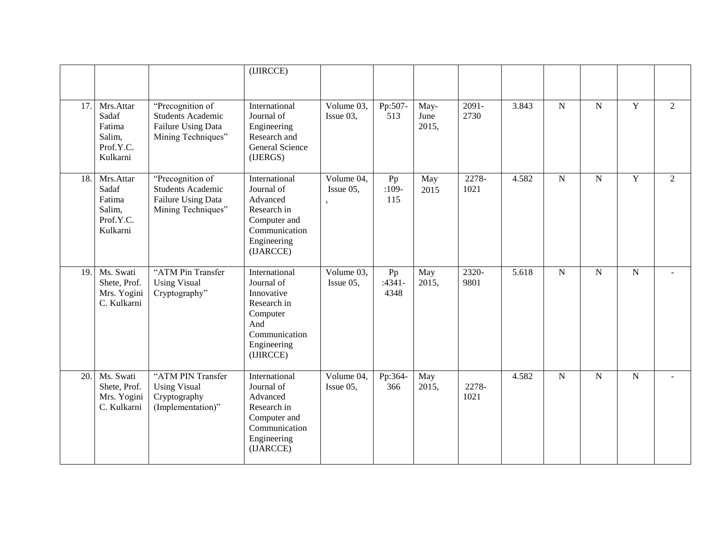|     |                                                                 |                                                                                                 | (IJIRCCE)                                                                                                                |                         |                        |                       |                  |       |                |                |                |                |
|-----|-----------------------------------------------------------------|-------------------------------------------------------------------------------------------------|--------------------------------------------------------------------------------------------------------------------------|-------------------------|------------------------|-----------------------|------------------|-------|----------------|----------------|----------------|----------------|
| 17. | Mrs.Attar<br>Sadaf<br>Fatima<br>Salim,<br>Prof.Y.C.<br>Kulkarni | "Precognition of<br><b>Students Academic</b><br>Failure Using Data<br>Mining Techniques"        | International<br>Journal of<br>Engineering<br>Research and<br>General Science<br>(IJERGS)                                | Volume 03,<br>Issue 03, | Pp:507-<br>513         | May-<br>June<br>2015, | $2091 -$<br>2730 | 3.843 | $\overline{N}$ | ${\bf N}$      | $\overline{Y}$ | $\overline{2}$ |
| 18. | Mrs.Attar<br>Sadaf<br>Fatima<br>Salim,<br>Prof.Y.C.<br>Kulkarni | "Precognition of<br><b>Students Academic</b><br><b>Failure Using Data</b><br>Mining Techniques" | International<br>Journal of<br>Advanced<br>Research in<br>Computer and<br>Communication<br>Engineering<br>(IJARCCE)      | Volume 04,<br>Issue 05, | Pp<br>$:109-$<br>115   | May<br>2015           | 2278-<br>1021    | 4.582 | ${\bf N}$      | $\mathbf N$    | $\overline{Y}$ | $\overline{2}$ |
| 19. | Ms. Swati<br>Shete, Prof.<br>Mrs. Yogini<br>C. Kulkarni         | "ATM Pin Transfer<br><b>Using Visual</b><br>Cryptography"                                       | International<br>Journal of<br>Innovative<br>Research in<br>Computer<br>And<br>Communication<br>Engineering<br>(IJIRCCE) | Volume 03,<br>Issue 05, | Pp<br>$:4341-$<br>4348 | May<br>2015,          | 2320-<br>9801    | 5.618 | $\overline{N}$ | $\overline{N}$ | ${\bf N}$      | $\blacksquare$ |
| 20. | Ms. Swati<br>Shete, Prof.<br>Mrs. Yogini<br>C. Kulkarni         | "ATM PIN Transfer<br><b>Using Visual</b><br>Cryptography<br>(Implementation)"                   | International<br>Journal of<br>Advanced<br>Research in<br>Computer and<br>Communication<br>Engineering<br>(IJARCCE)      | Volume 04,<br>Issue 05, | Pp:364-<br>366         | May<br>2015,          | 2278-<br>1021    | 4.582 | $\overline{N}$ | $\mathbf N$    | ${\bf N}$      | $\sim$         |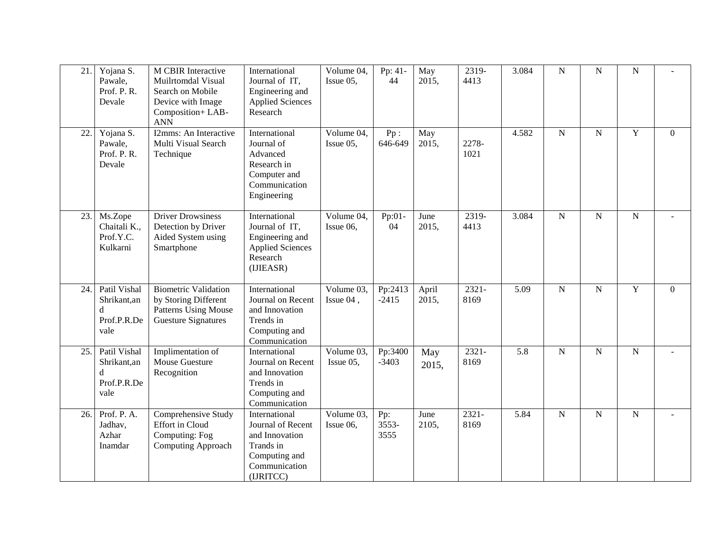| 21  | Yojana S.<br>Pawale,<br>Prof. P. R.<br>Devale           | M CBIR Interactive<br>Muilrtomdal Visual<br>Search on Mobile<br>Device with Image<br>Composition+LAB-<br><b>ANN</b> | International<br>Journal of IT,<br>Engineering and<br><b>Applied Sciences</b><br>Research                        | Volume 04,<br>Issue 05, | Pp: 41-<br>44        | May<br>2015,   | 2319-<br>4413    | 3.084 | $\overline{N}$ | $\mathbf N$ | ${\bf N}$   |                  |
|-----|---------------------------------------------------------|---------------------------------------------------------------------------------------------------------------------|------------------------------------------------------------------------------------------------------------------|-------------------------|----------------------|----------------|------------------|-------|----------------|-------------|-------------|------------------|
| 22. | Yojana S.<br>Pawale,<br>Prof. P. R.<br>Devale           | I2mms: An Interactive<br>Multi Visual Search<br>Technique                                                           | International<br>Journal of<br>Advanced<br>Research in<br>Computer and<br>Communication<br>Engineering           | Volume 04,<br>Issue 05, | Pp:<br>646-649       | May<br>2015,   | 2278-<br>1021    | 4.582 | $\mathbf N$    | $\mathbf N$ | $\mathbf Y$ | $\boldsymbol{0}$ |
| 23. | Ms.Zope<br>Chaitali K.,<br>Prof.Y.C.<br>Kulkarni        | <b>Driver Drowsiness</b><br>Detection by Driver<br>Aided System using<br>Smartphone                                 | International<br>Journal of IT,<br>Engineering and<br><b>Applied Sciences</b><br>Research<br>(IJIEASR)           | Volume 04,<br>Issue 06, | Pp:01-<br>04         | June<br>2015,  | 2319-<br>4413    | 3.084 | $\mathbf N$    | ${\bf N}$   | ${\bf N}$   |                  |
| 24. | Patil Vishal<br>Shrikant,an<br>d<br>Prof.P.R.De<br>vale | <b>Biometric Validation</b><br>by Storing Different<br><b>Patterns Using Mouse</b><br><b>Guesture Signatures</b>    | International<br>Journal on Recent<br>and Innovation<br>Trends in<br>Computing and<br>Communication              | Volume 03,<br>Issue 04, | Pp:2413<br>$-2415$   | April<br>2015, | 2321-<br>8169    | 5.09  | $\mathbf N$    | $\mathbf N$ | $\mathbf Y$ | $\theta$         |
| 25. | Patil Vishal<br>Shrikant,an<br>d<br>Prof.P.R.De<br>vale | Implimentation of<br>Mouse Guesture<br>Recognition                                                                  | International<br>Journal on Recent<br>and Innovation<br>Trends in<br>Computing and<br>Communication              | Volume 03,<br>Issue 05, | Pp:3400<br>$-3403$   | May<br>2015,   | $2321 -$<br>8169 | 5.8   | $\overline{N}$ | $\mathbf N$ | ${\bf N}$   |                  |
| 26. | Prof. P. A.<br>Jadhav,<br>Azhar<br>Inamdar              | Comprehensive Study<br><b>Effort in Cloud</b><br>Computing: Fog<br>Computing Approach                               | International<br>Journal of Recent<br>and Innovation<br>Trands in<br>Computing and<br>Communication<br>(IJRITCC) | Volume 03,<br>Issue 06, | Pp:<br>3553-<br>3555 | June<br>2105,  | $2321 -$<br>8169 | 5.84  | $\mathbf N$    | ${\bf N}$   | ${\bf N}$   |                  |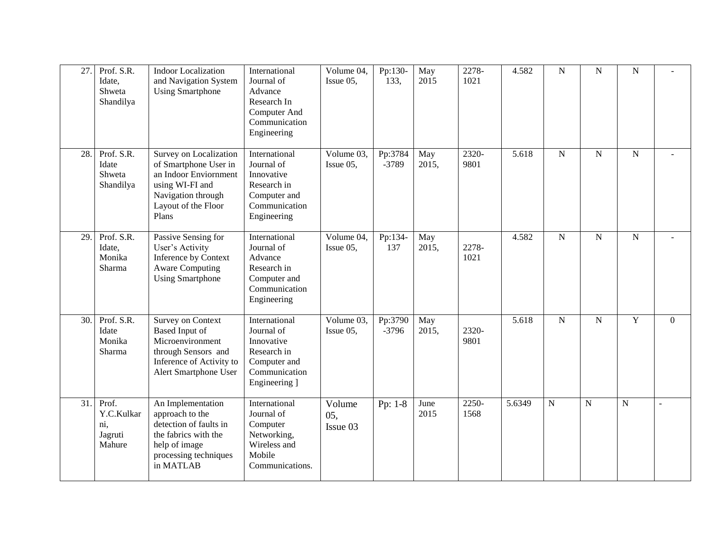| 27. | Prof. S.R.<br>Idate,<br>Shweta<br>Shandilya     | <b>Indoor Localization</b><br>and Navigation System<br><b>Using Smartphone</b>                                                                    | International<br>Journal of<br>Advance<br>Research In<br>Computer And<br>Communication<br>Engineering      | $\sqrt{\text{Volume}}$ 04,<br>Issue 05, | Pp:130-<br>133,    | May<br>2015  | 2278-<br>1021 | 4.582  | ${\bf N}$      | $\mathbf N$    | ${\bf N}$   |          |
|-----|-------------------------------------------------|---------------------------------------------------------------------------------------------------------------------------------------------------|------------------------------------------------------------------------------------------------------------|-----------------------------------------|--------------------|--------------|---------------|--------|----------------|----------------|-------------|----------|
| 28. | Prof. S.R.<br>Idate<br>Shweta<br>Shandilya      | Survey on Localization<br>of Smartphone User in<br>an Indoor Enviornment<br>using WI-FI and<br>Navigation through<br>Layout of the Floor<br>Plans | International<br>Journal of<br>Innovative<br>Research in<br>Computer and<br>Communication<br>Engineering   | Volume 03,<br>Issue 05,                 | Pp:3784<br>-3789   | May<br>2015, | 2320-<br>9801 | 5.618  | $\mathbf N$    | ${\bf N}$      | ${\bf N}$   |          |
| 29. | Prof. S.R.<br>Idate,<br>Monika<br>Sharma        | Passive Sensing for<br>User's Activity<br>Inference by Context<br><b>Aware Computing</b><br><b>Using Smartphone</b>                               | International<br>Journal of<br>Advance<br>Research in<br>Computer and<br>Communication<br>Engineering      | Volume 04,<br>Issue 05,                 | Pp:134-<br>137     | May<br>2015, | 2278-<br>1021 | 4.582  | $\mathbf N$    | $\overline{N}$ | ${\bf N}$   |          |
| 30. | Prof. S.R.<br>Idate<br>Monika<br>Sharma         | <b>Survey on Context</b><br><b>Based Input of</b><br>Microenvironment<br>through Sensors and<br>Inference of Activity to<br>Alert Smartphone User | International<br>Journal of<br>Innovative<br>Research in<br>Computer and<br>Communication<br>Engineering ] | Volume 03,<br>Issue 05,                 | Pp:3790<br>$-3796$ | May<br>2015, | 2320-<br>9801 | 5.618  | $\mathbf N$    | $\mathbf N$    | $\mathbf Y$ | $\theta$ |
| 31. | Prof.<br>Y.C.Kulkar<br>ni,<br>Jagruti<br>Mahure | An Implementation<br>approach to the<br>detection of faults in<br>the fabrics with the<br>help of image<br>processing techniques<br>in MATLAB     | International<br>Journal of<br>Computer<br>Networking,<br>Wireless and<br>Mobile<br>Communications.        | Volume<br>05,<br>Issue 03               | Pp: 1-8            | June<br>2015 | 2250-<br>1568 | 5.6349 | $\overline{N}$ | $\overline{N}$ | $\mathbf N$ |          |